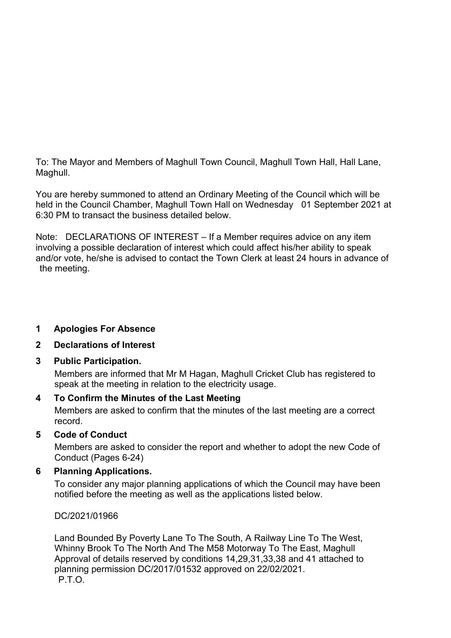To: The Mayor and Members of Maghull Town Council, Maghull Town Hall, Hall Lane, Maghull.

You are hereby summoned to attend an Ordinary Meeting of the Council which will be held in the Council Chamber, Maghull Town Hall on Wednesday 01 September 2021 at 6:30 PM to transact the business detailed below.

Note: DECLARATIONS OF INTEREST – If a Member requires advice on any item involving a possible declaration of interest which could affect his/her ability to speak and/or vote, he/she is advised to contact the Town Clerk at least 24 hours in advance of the meeting.

#### **1 Apologies For Absence**

#### **2 Declarations of Interest**

#### **3 Public Participation.**

Members are informed that Mr M Hagan, Maghull Cricket Club has registered to speak at the meeting in relation to the electricity usage.

#### **4 To Confirm the Minutes of the Last Meeting**

Members are asked to confirm that the minutes of the last meeting are a correct record.

#### **5 Code of Conduct**

Members are asked to consider the report and whether to adopt the new Code of Conduct (Pages 6-24)

#### **6 Planning Applications.**

To consider any major planning applications of which the Council may have been notified before the meeting as well as the applications listed below.

DC/2021/01966

Land Bounded By Poverty Lane To The South, A Railway Line To The West, Whinny Brook To The North And The M58 Motorway To The East, Maghull Approval of details reserved by conditions 14,29,31,33,38 and 41 attached to planning permission DC/2017/01532 approved on 22/02/2021. P.T.O.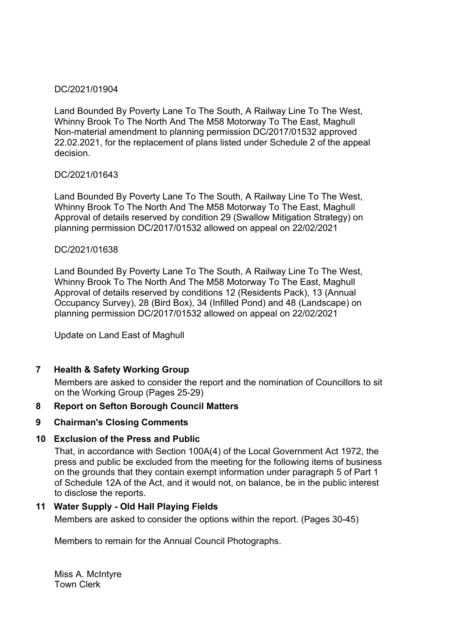#### DC/2021/01904

Land Bounded By Poverty Lane To The South, A Railway Line To The West, Whinny Brook To The North And The M58 Motorway To The East, Maghull Non-material amendment to planning permission DC/2017/01532 approved 22.02.2021, for the replacement of plans listed under Schedule 2 of the appeal decision.

#### DC/2021/01643

Land Bounded By Poverty Lane To The South, A Railway Line To The West, Whinny Brook To The North And The M58 Motorway To The East, Maghull Approval of details reserved by condition 29 (Swallow Mitigation Strategy) on planning permission DC/2017/01532 allowed on appeal on 22/02/2021

#### DC/2021/01638

Land Bounded By Poverty Lane To The South, A Railway Line To The West, Whinny Brook To The North And The M58 Motorway To The East, Maghull Approval of details reserved by conditions 12 (Residents Pack), 13 (Annual Occupancy Survey), 28 (Bird Box), 34 (Infilled Pond) and 48 (Landscape) on planning permission DC/2017/01532 allowed on appeal on 22/02/2021

Update on Land East of Maghull

#### **7 Health & Safety Working Group**

Members are asked to consider the report and the nomination of Councillors to sit on the Working Group (Pages 25-29)

#### **8 Report on Sefton Borough Council Matters**

#### **9 Chairman's Closing Comments**

#### **10 Exclusion of the Press and Public**

That, in accordance with Section 100A(4) of the Local Government Act 1972, the press and public be excluded from the meeting for the following items of business on the grounds that they contain exempt information under paragraph 5 of Part 1 of Schedule 12A of the Act, and it would not, on balance, be in the public interest to disclose the reports.

#### **11 Water Supply - Old Hall Playing Fields**

Members are asked to consider the options within the report. (Pages 30-45)

Members to remain for the Annual Council Photographs.

Miss A. McIntyre Town Clerk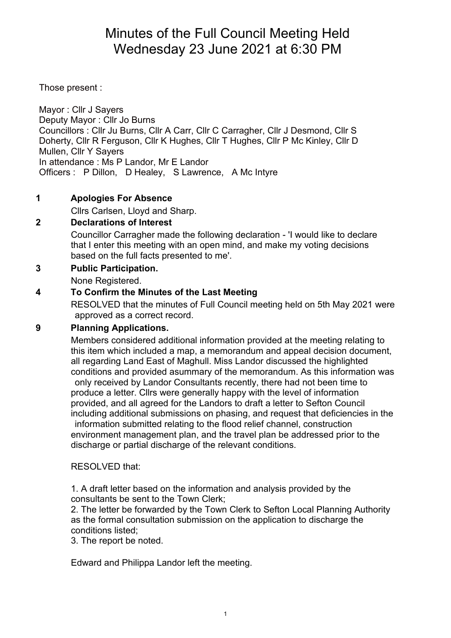## Minutes of the Full Council Meeting Held Wednesday 23 June 2021 at 6:30 PM

Those present :

Mayor : Cllr J Sayers Deputy Mayor : Cllr Jo Burns Councillors : Cllr Ju Burns, Cllr A Carr, Cllr C Carragher, Cllr J Desmond, Cllr S Doherty, Cllr R Ferguson, Cllr K Hughes, Cllr T Hughes, Cllr P Mc Kinley, Cllr D Mullen, Cllr Y Sayers In attendance : Ms P Landor, Mr E Landor Officers : P Dillon, D Healey, S Lawrence, A Mc Intyre

#### **1 Apologies For Absence**

Cllrs Carlsen, Lloyd and Sharp.

#### **2 Declarations of Interest**

Councillor Carragher made the following declaration - 'I would like to declare that I enter this meeting with an open mind, and make my voting decisions based on the full facts presented to me'.

#### **3 Public Participation.**

None Registered.

#### **4 To Confirm the Minutes of the Last Meeting**

RESOLVED that the minutes of Full Council meeting held on 5th May 2021 were approved as a correct record.

#### **9 Planning Applications.**

Members considered additional information provided at the meeting relating to this item which included a map, a memorandum and appeal decision document, all regarding Land East of Maghull. Miss Landor discussed the highlighted conditions and provided asummary of the memorandum. As this information was only received by Landor Consultants recently, there had not been time to produce a letter. Cllrs were generally happy with the level of information provided, and all agreed for the Landors to draft a letter to Sefton Council including additional submissions on phasing, and request that deficiencies in the information submitted relating to the flood relief channel, construction environment management plan, and the travel plan be addressed prior to the discharge or partial discharge of the relevant conditions.

#### RESOLVED that:

1. A draft letter based on the information and analysis provided by the consultants be sent to the Town Clerk;

2. The letter be forwarded by the Town Clerk to Sefton Local Planning Authority as the formal consultation submission on the application to discharge the conditions listed;

3. The report be noted.

Edward and Philippa Landor left the meeting.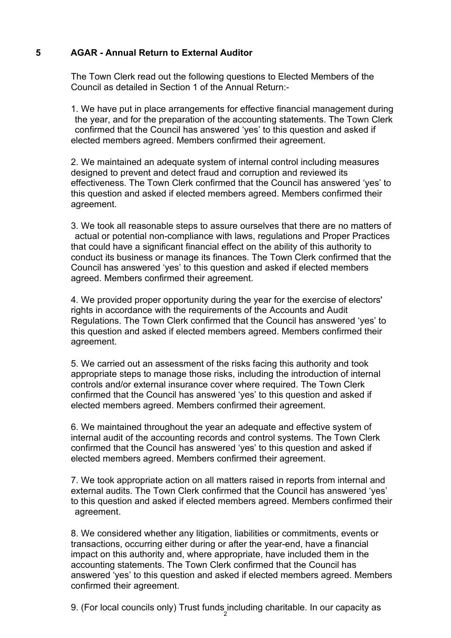#### **5 AGAR - Annual Return to External Auditor**

The Town Clerk read out the following questions to Elected Members of the Council as detailed in Section 1 of the Annual Return:-

1. We have put in place arrangements for effective financial management during the year, and for the preparation of the accounting statements. The Town Clerk confirmed that the Council has answered 'yes' to this question and asked if elected members agreed. Members confirmed their agreement.

2. We maintained an adequate system of internal control including measures designed to prevent and detect fraud and corruption and reviewed its effectiveness. The Town Clerk confirmed that the Council has answered 'yes' to this question and asked if elected members agreed. Members confirmed their agreement.

3. We took all reasonable steps to assure ourselves that there are no matters of actual or potential non-compliance with laws, regulations and Proper Practices that could have a significant financial effect on the ability of this authority to conduct its business or manage its finances. The Town Clerk confirmed that the Council has answered 'yes' to this question and asked if elected members agreed. Members confirmed their agreement.

4. We provided proper opportunity during the year for the exercise of electors' rights in accordance with the requirements of the Accounts and Audit Regulations. The Town Clerk confirmed that the Council has answered 'yes' to this question and asked if elected members agreed. Members confirmed their agreement.

5. We carried out an assessment of the risks facing this authority and took appropriate steps to manage those risks, including the introduction of internal controls and/or external insurance cover where required. The Town Clerk confirmed that the Council has answered 'yes' to this question and asked if elected members agreed. Members confirmed their agreement.

6. We maintained throughout the year an adequate and effective system of internal audit of the accounting records and control systems. The Town Clerk confirmed that the Council has answered 'yes' to this question and asked if elected members agreed. Members confirmed their agreement.

7. We took appropriate action on all matters raised in reports from internal and external audits. The Town Clerk confirmed that the Council has answered 'yes' to this question and asked if elected members agreed. Members confirmed their agreement.

8. We considered whether any litigation, liabilities or commitments, events or transactions, occurring either during or after the year-end, have a financial impact on this authority and, where appropriate, have included them in the accounting statements. The Town Clerk confirmed that the Council has answered 'yes' to this question and asked if elected members agreed. Members confirmed their agreement.

9. (For local councils only) Trust funds including charitable. In our capacity as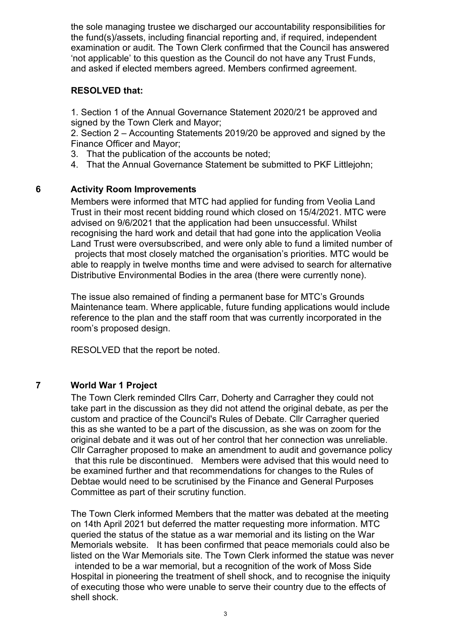the sole managing trustee we discharged our accountability responsibilities for the fund(s)/assets, including financial reporting and, if required, independent examination or audit. The Town Clerk confirmed that the Council has answered 'not applicable' to this question as the Council do not have any Trust Funds, and asked if elected members agreed. Members confirmed agreement.

#### **RESOLVED that:**

1. Section 1 of the Annual Governance Statement 2020/21 be approved and signed by the Town Clerk and Mayor;

2. Section 2 – Accounting Statements 2019/20 be approved and signed by the Finance Officer and Mayor;

- 3. That the publication of the accounts be noted;
- 4. That the Annual Governance Statement be submitted to PKF Littlejohn;

#### **6 Activity Room Improvements**

Members were informed that MTC had applied for funding from Veolia Land Trust in their most recent bidding round which closed on 15/4/2021. MTC were advised on 9/6/2021 that the application had been unsuccessful. Whilst recognising the hard work and detail that had gone into the application Veolia Land Trust were oversubscribed, and were only able to fund a limited number of projects that most closely matched the organisation's priorities. MTC would be

able to reapply in twelve months time and were advised to search for alternative Distributive Environmental Bodies in the area (there were currently none).

The issue also remained of finding a permanent base for MTC's Grounds Maintenance team. Where applicable, future funding applications would include reference to the plan and the staff room that was currently incorporated in the room's proposed design.

RESOLVED that the report be noted.

#### **7 World War 1 Project**

The Town Clerk reminded Cllrs Carr, Doherty and Carragher they could not take part in the discussion as they did not attend the original debate, as per the custom and practice of the Council's Rules of Debate. Cllr Carragher queried this as she wanted to be a part of the discussion, as she was on zoom for the original debate and it was out of her control that her connection was unreliable. Cllr Carragher proposed to make an amendment to audit and governance policy that this rule be discontinued. Members were advised that this would need to be examined further and that recommendations for changes to the Rules of Debtae would need to be scrutinised by the Finance and General Purposes Committee as part of their scrutiny function.

The Town Clerk informed Members that the matter was debated at the meeting on 14th April 2021 but deferred the matter requesting more information. MTC queried the status of the statue as a war memorial and its listing on the War Memorials website. It has been confirmed that peace memorials could also be listed on the War Memorials site. The Town Clerk informed the statue was never intended to be a war memorial, but a recognition of the work of Moss Side Hospital in pioneering the treatment of shell shock, and to recognise the iniquity of executing those who were unable to serve their country due to the effects of shell shock.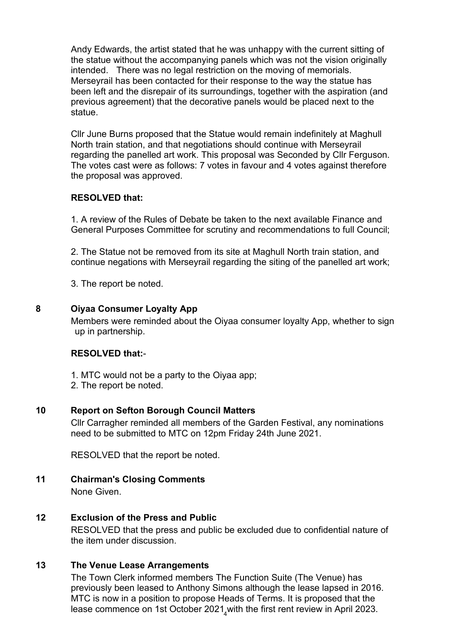Andy Edwards, the artist stated that he was unhappy with the current sitting of the statue without the accompanying panels which was not the vision originally intended. There was no legal restriction on the moving of memorials. Merseyrail has been contacted for their response to the way the statue has been left and the disrepair of its surroundings, together with the aspiration (and previous agreement) that the decorative panels would be placed next to the statue.

Cllr June Burns proposed that the Statue would remain indefinitely at Maghull North train station, and that negotiations should continue with Merseyrail regarding the panelled art work. This proposal was Seconded by Cllr Ferguson. The votes cast were as follows: 7 votes in favour and 4 votes against therefore the proposal was approved.

#### **RESOLVED that:**

1. A review of the Rules of Debate be taken to the next available Finance and General Purposes Committee for scrutiny and recommendations to full Council;

2. The Statue not be removed from its site at Maghull North train station, and continue negations with Merseyrail regarding the siting of the panelled art work;

3. The report be noted.

#### **8 Oiyaa Consumer Loyalty App**

Members were reminded about the Oiyaa consumer loyalty App, whether to sign up in partnership.

#### **RESOLVED that:**-

- 1. MTC would not be a party to the Oiyaa app;
- 2. The report be noted.

#### **10 Report on Sefton Borough Council Matters**

Cllr Carragher reminded all members of the Garden Festival, any nominations need to be submitted to MTC on 12pm Friday 24th June 2021.

RESOLVED that the report be noted.

**11 Chairman's Closing Comments** None Given.

#### **12 Exclusion of the Press and Public**

RESOLVED that the press and public be excluded due to confidential nature of the item under discussion.

#### **13 The Venue Lease Arrangements**

The Town Clerk informed members The Function Suite (The Venue) has previously been leased to Anthony Simons although the lease lapsed in 2016. MTC is now in a position to propose Heads of Terms. It is proposed that the lease commence on 1st October 2021 $_4$ with the first rent review in April 2023.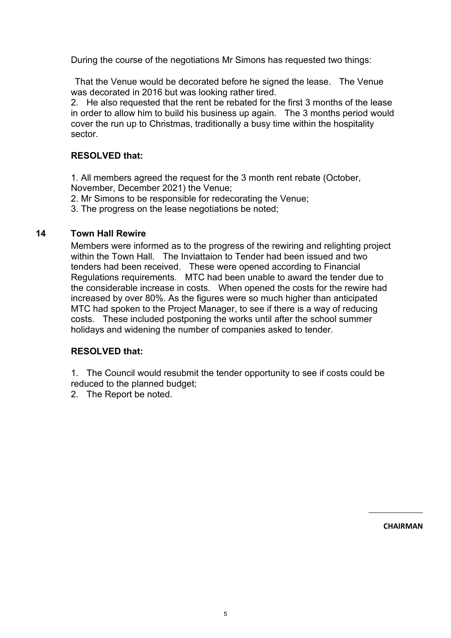During the course of the negotiations Mr Simons has requested two things:

 That the Venue would be decorated before he signed the lease. The Venue was decorated in 2016 but was looking rather tired.

2. He also requested that the rent be rebated for the first 3 months of the lease in order to allow him to build his business up again. The 3 months period would cover the run up to Christmas, traditionally a busy time within the hospitality sector.

#### **RESOLVED that:**

1. All members agreed the request for the 3 month rent rebate (October, November, December 2021) the Venue;

2. Mr Simons to be responsible for redecorating the Venue;

3. The progress on the lease negotiations be noted;

#### **14 Town Hall Rewire**

Members were informed as to the progress of the rewiring and relighting project within the Town Hall. The Inviattaion to Tender had been issued and two tenders had been received. These were opened according to Financial Regulations requirements. MTC had been unable to award the tender due to the considerable increase in costs. When opened the costs for the rewire had increased by over 80%. As the figures were so much higher than anticipated MTC had spoken to the Project Manager, to see if there is a way of reducing costs. These included postponing the works until after the school summer holidays and widening the number of companies asked to tender.

#### **RESOLVED that:**

1. The Council would resubmit the tender opportunity to see if costs could be reduced to the planned budget;

2. The Report be noted.

**CHAIRMAN**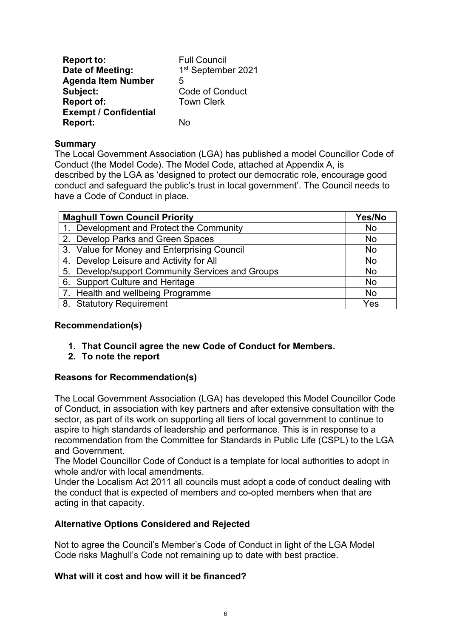| <b>Report to:</b>            | <b>Full Council</b>    |
|------------------------------|------------------------|
| Date of Meeting:             | 1st September 2021     |
| <b>Agenda Item Number</b>    | 5                      |
| Subject:                     | <b>Code of Conduct</b> |
| <b>Report of:</b>            | <b>Town Clerk</b>      |
| <b>Exempt / Confidential</b> |                        |
| <b>Report:</b>               | N۵                     |

#### **Summary**

The Local Government Association (LGA) has published a model Councillor Code of Conduct (the Model Code). The Model Code, attached at Appendix A, is described by the LGA as 'designed to protect our democratic role, encourage good conduct and safeguard the public's trust in local government'. The Council needs to have a Code of Conduct in place.

| <b>Maghull Town Council Priority</b>             | Yes/No    |
|--------------------------------------------------|-----------|
| 1. Development and Protect the Community         | <b>No</b> |
| 2. Develop Parks and Green Spaces                | <b>No</b> |
| 3. Value for Money and Enterprising Council      | <b>No</b> |
| 4. Develop Leisure and Activity for All          | <b>No</b> |
| 5. Develop/support Community Services and Groups | <b>No</b> |
| 6. Support Culture and Heritage                  | <b>No</b> |
| 7. Health and wellbeing Programme                | <b>No</b> |
| 8. Statutory Requirement                         | Yes       |

#### **Recommendation(s)**

- **1. That Council agree the new Code of Conduct for Members.**
- **2. To note the report**

#### **Reasons for Recommendation(s)**

The Local Government Association (LGA) has developed this Model Councillor Code of Conduct, in association with key partners and after extensive consultation with the sector, as part of its work on supporting all tiers of local government to continue to aspire to high standards of leadership and performance. This is in response to a recommendation from the Committee for Standards in Public Life (CSPL) to the LGA and Government.

The Model Councillor Code of Conduct is a template for local authorities to adopt in whole and/or with local amendments.

Under the Localism Act 2011 all councils must adopt a code of conduct dealing with the conduct that is expected of members and co-opted members when that are acting in that capacity.

#### **Alternative Options Considered and Rejected**

Not to agree the Council's Member's Code of Conduct in light of the LGA Model Code risks Maghull's Code not remaining up to date with best practice.

#### **What will it cost and how will it be financed?**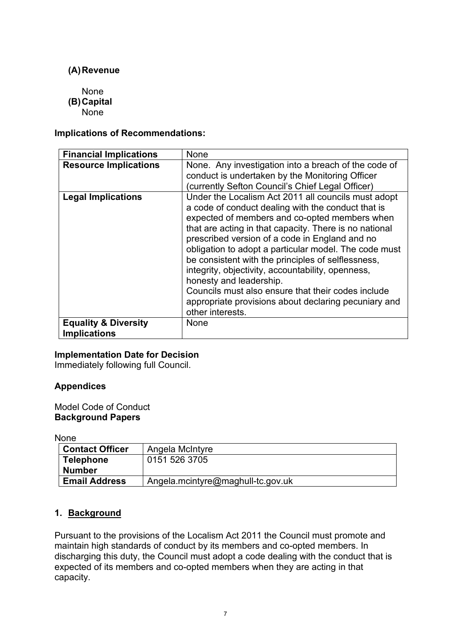#### **(A)Revenue**

None

- **(B)Capital** 
	- None

#### **Implications of Recommendations:**

| <b>Financial Implications</b>   | None                                                                                                                                                                                                                                                                                                                                                                                                                                                                                                                                                                                                    |
|---------------------------------|---------------------------------------------------------------------------------------------------------------------------------------------------------------------------------------------------------------------------------------------------------------------------------------------------------------------------------------------------------------------------------------------------------------------------------------------------------------------------------------------------------------------------------------------------------------------------------------------------------|
| <b>Resource Implications</b>    | None. Any investigation into a breach of the code of<br>conduct is undertaken by the Monitoring Officer<br>(currently Sefton Council's Chief Legal Officer)                                                                                                                                                                                                                                                                                                                                                                                                                                             |
| <b>Legal Implications</b>       | Under the Localism Act 2011 all councils must adopt<br>a code of conduct dealing with the conduct that is<br>expected of members and co-opted members when<br>that are acting in that capacity. There is no national<br>prescribed version of a code in England and no<br>obligation to adopt a particular model. The code must<br>be consistent with the principles of selflessness,<br>integrity, objectivity, accountability, openness,<br>honesty and leadership.<br>Councils must also ensure that their codes include<br>appropriate provisions about declaring pecuniary and<br>other interests. |
| <b>Equality &amp; Diversity</b> | None                                                                                                                                                                                                                                                                                                                                                                                                                                                                                                                                                                                                    |
| <b>Implications</b>             |                                                                                                                                                                                                                                                                                                                                                                                                                                                                                                                                                                                                         |

#### **Implementation Date for Decision**

Immediately following full Council.

#### **Appendices**

Model Code of Conduct **Background Papers**

None

| <b>Contact Officer</b> | Angela McIntyre                   |
|------------------------|-----------------------------------|
| <b>Telephone</b>       | 0151 526 3705                     |
| <b>Number</b>          |                                   |
| <b>Email Address</b>   | Angela.mcintyre@maghull-tc.gov.uk |

#### **1. Background**

Pursuant to the provisions of the Localism Act 2011 the Council must promote and maintain high standards of conduct by its members and co-opted members. In discharging this duty, the Council must adopt a code dealing with the conduct that is expected of its members and co-opted members when they are acting in that capacity.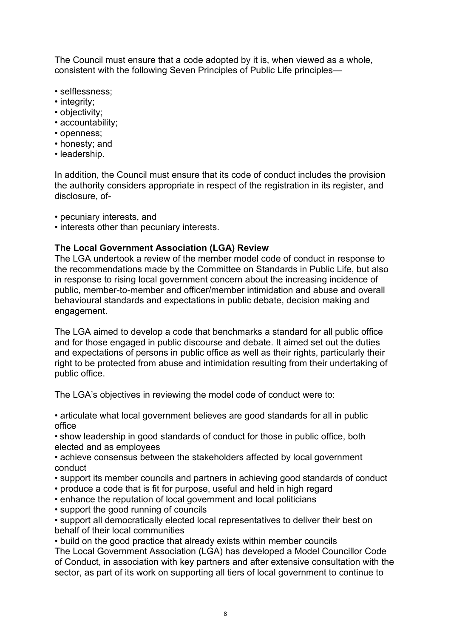The Council must ensure that a code adopted by it is, when viewed as a whole, consistent with the following Seven Principles of Public Life principles—

- selflessness;
- integrity;
- objectivity;
- accountability;
- openness;
- honesty; and
- leadership.

In addition, the Council must ensure that its code of conduct includes the provision the authority considers appropriate in respect of the registration in its register, and disclosure, of-

• pecuniary interests, and

• interests other than pecuniary interests.

#### **The Local Government Association (LGA) Review**

The LGA undertook a review of the member model code of conduct in response to the recommendations made by the Committee on Standards in Public Life, but also in response to rising local government concern about the increasing incidence of public, member-to-member and officer/member intimidation and abuse and overall behavioural standards and expectations in public debate, decision making and engagement.

The LGA aimed to develop a code that benchmarks a standard for all public office and for those engaged in public discourse and debate. It aimed set out the duties and expectations of persons in public office as well as their rights, particularly their right to be protected from abuse and intimidation resulting from their undertaking of public office.

The LGA's objectives in reviewing the model code of conduct were to:

• articulate what local government believes are good standards for all in public office

• show leadership in good standards of conduct for those in public office, both elected and as employees

• achieve consensus between the stakeholders affected by local government conduct

- support its member councils and partners in achieving good standards of conduct
- produce a code that is fit for purpose, useful and held in high regard
- enhance the reputation of local government and local politicians
- support the good running of councils

• support all democratically elected local representatives to deliver their best on behalf of their local communities

• build on the good practice that already exists within member councils

The Local Government Association (LGA) has developed a Model Councillor Code of Conduct, in association with key partners and after extensive consultation with the sector, as part of its work on supporting all tiers of local government to continue to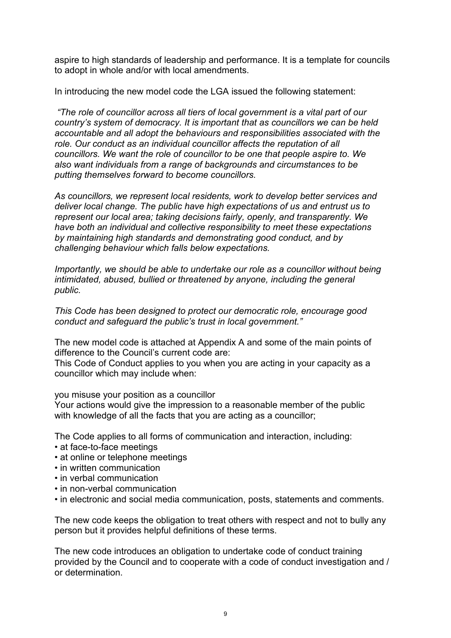aspire to high standards of leadership and performance. It is a template for councils to adopt in whole and/or with local amendments.

In introducing the new model code the LGA issued the following statement:

*"The role of councillor across all tiers of local government is a vital part of our country's system of democracy. It is important that as councillors we can be held accountable and all adopt the behaviours and responsibilities associated with the role. Our conduct as an individual councillor affects the reputation of all councillors. We want the role of councillor to be one that people aspire to. We also want individuals from a range of backgrounds and circumstances to be putting themselves forward to become councillors.*

*As councillors, we represent local residents, work to develop better services and deliver local change. The public have high expectations of us and entrust us to represent our local area; taking decisions fairly, openly, and transparently. We have both an individual and collective responsibility to meet these expectations by maintaining high standards and demonstrating good conduct, and by challenging behaviour which falls below expectations.*

*Importantly, we should be able to undertake our role as a councillor without being intimidated, abused, bullied or threatened by anyone, including the general public.*

*This Code has been designed to protect our democratic role, encourage good conduct and safeguard the public's trust in local government."*

The new model code is attached at Appendix A and some of the main points of difference to the Council's current code are:

This Code of Conduct applies to you when you are acting in your capacity as a councillor which may include when:

you misuse your position as a councillor

Your actions would give the impression to a reasonable member of the public with knowledge of all the facts that you are acting as a councillor;

The Code applies to all forms of communication and interaction, including:

- at face-to-face meetings
- at online or telephone meetings
- in written communication
- in verbal communication
- in non-verbal communication
- in electronic and social media communication, posts, statements and comments.

The new code keeps the obligation to treat others with respect and not to bully any person but it provides helpful definitions of these terms.

The new code introduces an obligation to undertake code of conduct training provided by the Council and to cooperate with a code of conduct investigation and / or determination.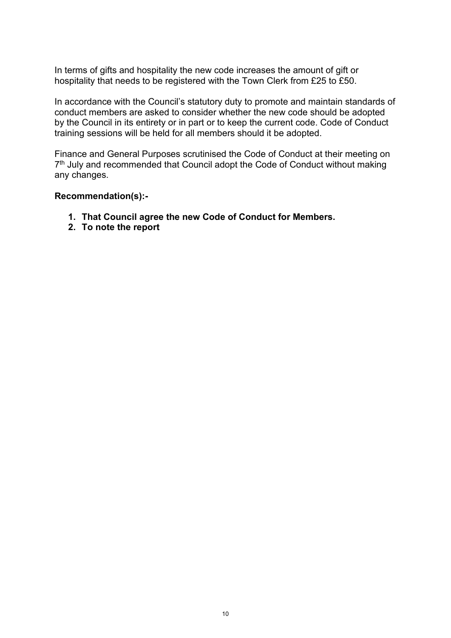In terms of gifts and hospitality the new code increases the amount of gift or hospitality that needs to be registered with the Town Clerk from £25 to £50.

In accordance with the Council's statutory duty to promote and maintain standards of conduct members are asked to consider whether the new code should be adopted by the Council in its entirety or in part or to keep the current code. Code of Conduct training sessions will be held for all members should it be adopted.

Finance and General Purposes scrutinised the Code of Conduct at their meeting on 7<sup>th</sup> July and recommended that Council adopt the Code of Conduct without making any changes.

#### **Recommendation(s):-**

- **1. That Council agree the new Code of Conduct for Members.**
- **2. To note the report**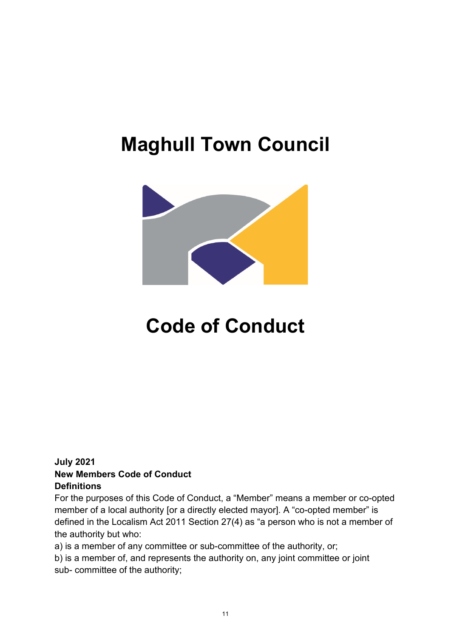# **Maghull Town Council**



# **Code of Conduct**

#### **July 2021 New Members Code of Conduct Definitions**

For the purposes of this Code of Conduct, a "Member" means a member or co-opted member of a local authority [or a directly elected mayor]. A "co-opted member" is defined in the Localism Act 2011 Section 27(4) as "a person who is not a member of the authority but who:

a) is a member of any committee or sub-committee of the authority, or;

b) is a member of, and represents the authority on, any joint committee or joint sub- committee of the authority;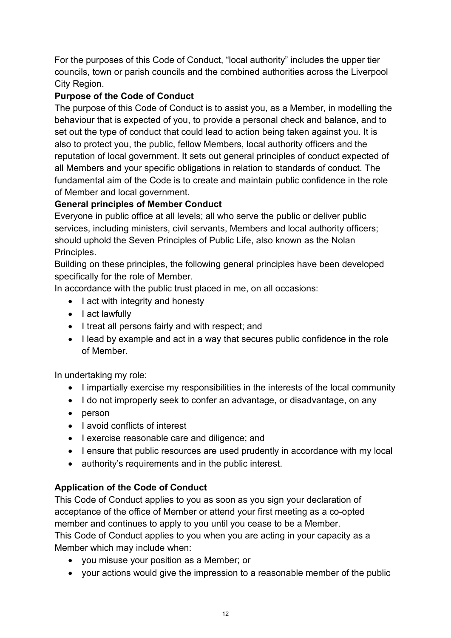For the purposes of this Code of Conduct, "local authority" includes the upper tier councils, town or parish councils and the combined authorities across the Liverpool City Region.

## **Purpose of the Code of Conduct**

The purpose of this Code of Conduct is to assist you, as a Member, in modelling the behaviour that is expected of you, to provide a personal check and balance, and to set out the type of conduct that could lead to action being taken against you. It is also to protect you, the public, fellow Members, local authority officers and the reputation of local government. It sets out general principles of conduct expected of all Members and your specific obligations in relation to standards of conduct. The fundamental aim of the Code is to create and maintain public confidence in the role of Member and local government.

## **General principles of Member Conduct**

Everyone in public office at all levels; all who serve the public or deliver public services, including ministers, civil servants, Members and local authority officers; should uphold the Seven Principles of Public Life, also known as the Nolan Principles.

Building on these principles, the following general principles have been developed specifically for the role of Member.

In accordance with the public trust placed in me, on all occasions:

- I act with integrity and honesty
- I act lawfully
- I treat all persons fairly and with respect; and
- I lead by example and act in a way that secures public confidence in the role of Member.

In undertaking my role:

- I impartially exercise my responsibilities in the interests of the local community
- I do not improperly seek to confer an advantage, or disadvantage, on any
- person
- I avoid conflicts of interest
- I exercise reasonable care and diligence; and
- I ensure that public resources are used prudently in accordance with my local
- authority's requirements and in the public interest.

## **Application of the Code of Conduct**

This Code of Conduct applies to you as soon as you sign your declaration of acceptance of the office of Member or attend your first meeting as a co-opted member and continues to apply to you until you cease to be a Member.

This Code of Conduct applies to you when you are acting in your capacity as a Member which may include when:

- you misuse your position as a Member; or
- your actions would give the impression to a reasonable member of the public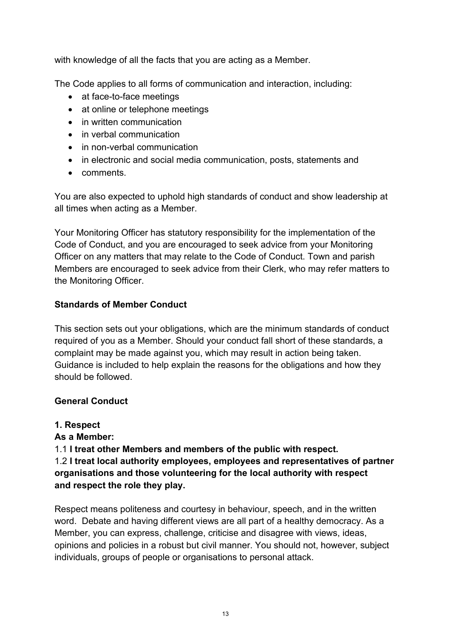with knowledge of all the facts that you are acting as a Member.

The Code applies to all forms of communication and interaction, including:

- at face-to-face meetings
- at online or telephone meetings
- in written communication
- in verbal communication
- in non-verbal communication
- in electronic and social media communication, posts, statements and
- comments.

You are also expected to uphold high standards of conduct and show leadership at all times when acting as a Member.

Your Monitoring Officer has statutory responsibility for the implementation of the Code of Conduct, and you are encouraged to seek advice from your Monitoring Officer on any matters that may relate to the Code of Conduct. Town and parish Members are encouraged to seek advice from their Clerk, who may refer matters to the Monitoring Officer.

## **Standards of Member Conduct**

This section sets out your obligations, which are the minimum standards of conduct required of you as a Member. Should your conduct fall short of these standards, a complaint may be made against you, which may result in action being taken. Guidance is included to help explain the reasons for the obligations and how they should be followed.

## **General Conduct**

## **1. Respect**

## **As a Member:**

1.1 **I treat other Members and members of the public with respect.**

1.2 **I treat local authority employees, employees and representatives of partner organisations and those volunteering for the local authority with respect and respect the role they play.**

Respect means politeness and courtesy in behaviour, speech, and in the written word. Debate and having different views are all part of a healthy democracy. As a Member, you can express, challenge, criticise and disagree with views, ideas, opinions and policies in a robust but civil manner. You should not, however, subject individuals, groups of people or organisations to personal attack.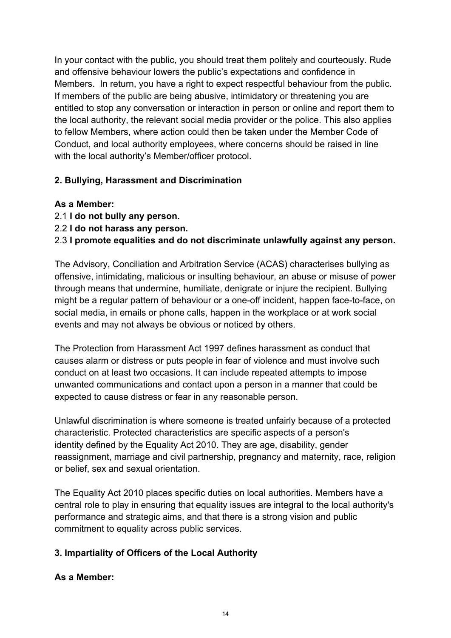In your contact with the public, you should treat them politely and courteously. Rude and offensive behaviour lowers the public's expectations and confidence in Members. In return, you have a right to expect respectful behaviour from the public. If members of the public are being abusive, intimidatory or threatening you are entitled to stop any conversation or interaction in person or online and report them to the local authority, the relevant social media provider or the police. This also applies to fellow Members, where action could then be taken under the Member Code of Conduct, and local authority employees, where concerns should be raised in line with the local authority's Member/officer protocol.

### **2. Bullying, Harassment and Discrimination**

#### **As a Member:**

- 2.1 **I do not bully any person.**
- 2.2 **I do not harass any person.**

### 2.3 **I promote equalities and do not discriminate unlawfully against any person.**

The Advisory, Conciliation and Arbitration Service (ACAS) characterises bullying as offensive, intimidating, malicious or insulting behaviour, an abuse or misuse of power through means that undermine, humiliate, denigrate or injure the recipient. Bullying might be a regular pattern of behaviour or a one-off incident, happen face-to-face, on social media, in emails or phone calls, happen in the workplace or at work social events and may not always be obvious or noticed by others.

The Protection from Harassment Act 1997 defines harassment as conduct that causes alarm or distress or puts people in fear of violence and must involve such conduct on at least two occasions. It can include repeated attempts to impose unwanted communications and contact upon a person in a manner that could be expected to cause distress or fear in any reasonable person.

Unlawful discrimination is where someone is treated unfairly because of a protected characteristic. Protected characteristics are specific aspects of a person's identity defined by the Equality Act 2010. They are age, disability, gender reassignment, marriage and civil partnership, pregnancy and maternity, race, religion or belief, sex and sexual orientation.

The Equality Act 2010 places specific duties on local authorities. Members have a central role to play in ensuring that equality issues are integral to the local authority's performance and strategic aims, and that there is a strong vision and public commitment to equality across public services.

## **3. Impartiality of Officers of the Local Authority**

#### **As a Member:**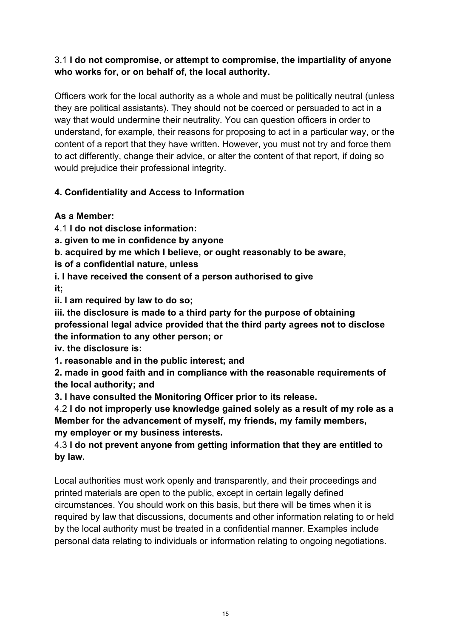## 3.1 **I do not compromise, or attempt to compromise, the impartiality of anyone who works for, or on behalf of, the local authority.**

Officers work for the local authority as a whole and must be politically neutral (unless they are political assistants). They should not be coerced or persuaded to act in a way that would undermine their neutrality. You can question officers in order to understand, for example, their reasons for proposing to act in a particular way, or the content of a report that they have written. However, you must not try and force them to act differently, change their advice, or alter the content of that report, if doing so would prejudice their professional integrity.

## **4. Confidentiality and Access to Information**

## **As a Member:**

4.1 **I do not disclose information:**

**a. given to me in confidence by anyone**

**b. acquired by me which I believe, or ought reasonably to be aware,**

**is of a confidential nature, unless**

**i. I have received the consent of a person authorised to give it;**

**ii. I am required by law to do so;**

**iii. the disclosure is made to a third party for the purpose of obtaining professional legal advice provided that the third party agrees not to disclose the information to any other person; or**

**iv. the disclosure is:**

**1. reasonable and in the public interest; and**

**2. made in good faith and in compliance with the reasonable requirements of the local authority; and**

**3. I have consulted the Monitoring Officer prior to its release.**

4.2 **I do not improperly use knowledge gained solely as a result of my role as a Member for the advancement of myself, my friends, my family members, my employer or my business interests.**

4.3 **I do not prevent anyone from getting information that they are entitled to by law.**

Local authorities must work openly and transparently, and their proceedings and printed materials are open to the public, except in certain legally defined circumstances. You should work on this basis, but there will be times when it is required by law that discussions, documents and other information relating to or held by the local authority must be treated in a confidential manner. Examples include personal data relating to individuals or information relating to ongoing negotiations.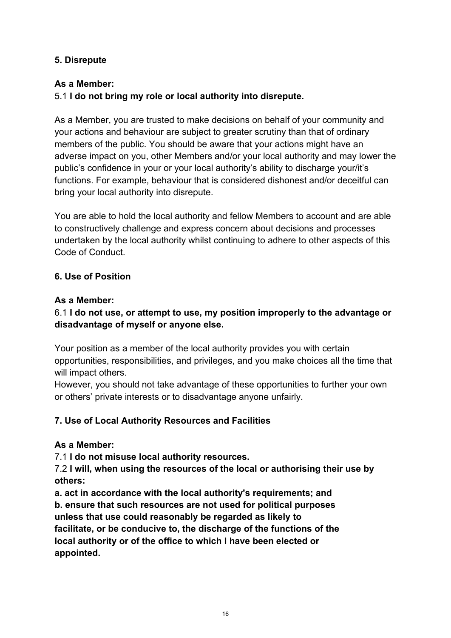#### **5. Disrepute**

### **As a Member:**

## 5.1 **I do not bring my role or local authority into disrepute.**

As a Member, you are trusted to make decisions on behalf of your community and your actions and behaviour are subject to greater scrutiny than that of ordinary members of the public. You should be aware that your actions might have an adverse impact on you, other Members and/or your local authority and may lower the public's confidence in your or your local authority's ability to discharge your/it's functions. For example, behaviour that is considered dishonest and/or deceitful can bring your local authority into disrepute.

You are able to hold the local authority and fellow Members to account and are able to constructively challenge and express concern about decisions and processes undertaken by the local authority whilst continuing to adhere to other aspects of this Code of Conduct.

### **6. Use of Position**

#### **As a Member:**

## 6.1 **I do not use, or attempt to use, my position improperly to the advantage or disadvantage of myself or anyone else.**

Your position as a member of the local authority provides you with certain opportunities, responsibilities, and privileges, and you make choices all the time that will impact others.

However, you should not take advantage of these opportunities to further your own or others' private interests or to disadvantage anyone unfairly.

## **7. Use of Local Authority Resources and Facilities**

#### **As a Member:**

7.1 **I do not misuse local authority resources.**

7.2 **I will, when using the resources of the local or authorising their use by others:**

**a. act in accordance with the local authority's requirements; and b. ensure that such resources are not used for political purposes unless that use could reasonably be regarded as likely to facilitate, or be conducive to, the discharge of the functions of the local authority or of the office to which I have been elected or appointed.**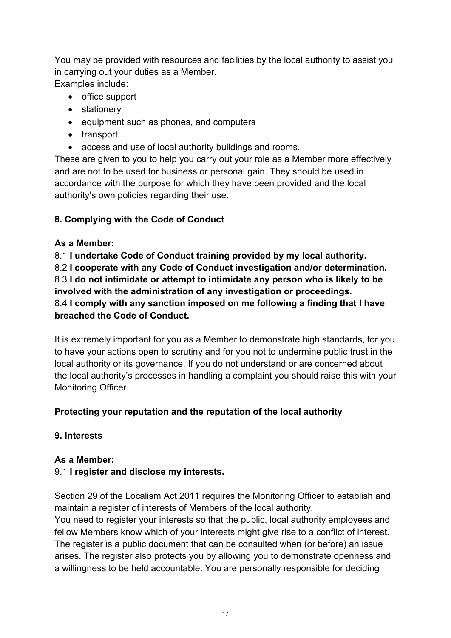You may be provided with resources and facilities by the local authority to assist you in carrying out your duties as a Member. Examples include:

- office support
- stationery
- equipment such as phones, and computers
- transport
- access and use of local authority buildings and rooms.

These are given to you to help you carry out your role as a Member more effectively and are not to be used for business or personal gain. They should be used in accordance with the purpose for which they have been provided and the local authority's own policies regarding their use.

## **8. Complying with the Code of Conduct**

### **As a Member:**

8.1 **I undertake Code of Conduct training provided by my local authority.** 8.2 **I cooperate with any Code of Conduct investigation and/or determination.** 8.3 **I do not intimidate or attempt to intimidate any person who is likely to be involved with the administration of any investigation or proceedings.** 8.4 **I comply with any sanction imposed on me following a finding that I have breached the Code of Conduct.**

It is extremely important for you as a Member to demonstrate high standards, for you to have your actions open to scrutiny and for you not to undermine public trust in the local authority or its governance. If you do not understand or are concerned about the local authority's processes in handling a complaint you should raise this with your Monitoring Officer.

## **Protecting your reputation and the reputation of the local authority**

## **9. Interests**

#### **As a Member:**

## 9.1 **I register and disclose my interests.**

Section 29 of the Localism Act 2011 requires the Monitoring Officer to establish and maintain a register of interests of Members of the local authority.

You need to register your interests so that the public, local authority employees and fellow Members know which of your interests might give rise to a conflict of interest. The register is a public document that can be consulted when (or before) an issue arises. The register also protects you by allowing you to demonstrate openness and a willingness to be held accountable. You are personally responsible for deciding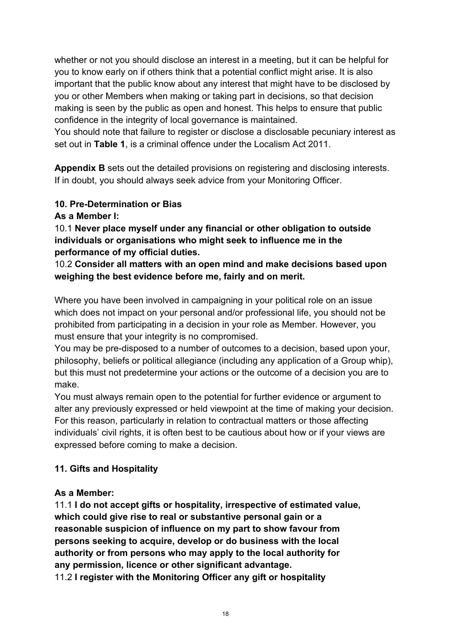whether or not you should disclose an interest in a meeting, but it can be helpful for you to know early on if others think that a potential conflict might arise. It is also important that the public know about any interest that might have to be disclosed by you or other Members when making or taking part in decisions, so that decision making is seen by the public as open and honest. This helps to ensure that public confidence in the integrity of local governance is maintained.

You should note that failure to register or disclose a disclosable pecuniary interest as set out in **Table 1**, is a criminal offence under the Localism Act 2011.

**Appendix B** sets out the detailed provisions on registering and disclosing interests. If in doubt, you should always seek advice from your Monitoring Officer.

## **10. Pre-Determination or Bias**

**As a Member I:**

10.1 **Never place myself under any financial or other obligation to outside individuals or organisations who might seek to influence me in the performance of my official duties.**

10.2 **Consider all matters with an open mind and make decisions based upon weighing the best evidence before me, fairly and on merit.**

Where you have been involved in campaigning in your political role on an issue which does not impact on your personal and/or professional life, you should not be prohibited from participating in a decision in your role as Member. However, you must ensure that your integrity is no compromised.

You may be pre-disposed to a number of outcomes to a decision, based upon your, philosophy, beliefs or political allegiance (including any application of a Group whip), but this must not predetermine your actions or the outcome of a decision you are to make.

You must always remain open to the potential for further evidence or argument to alter any previously expressed or held viewpoint at the time of making your decision. For this reason, particularly in relation to contractual matters or those affecting individuals' civil rights, it is often best to be cautious about how or if your views are expressed before coming to make a decision.

## **11. Gifts and Hospitality**

#### **As a Member:**

11.1 **I do not accept gifts or hospitality, irrespective of estimated value, which could give rise to real or substantive personal gain or a reasonable suspicion of influence on my part to show favour from persons seeking to acquire, develop or do business with the local authority or from persons who may apply to the local authority for any permission, licence or other significant advantage.** 11.2 **I register with the Monitoring Officer any gift or hospitality**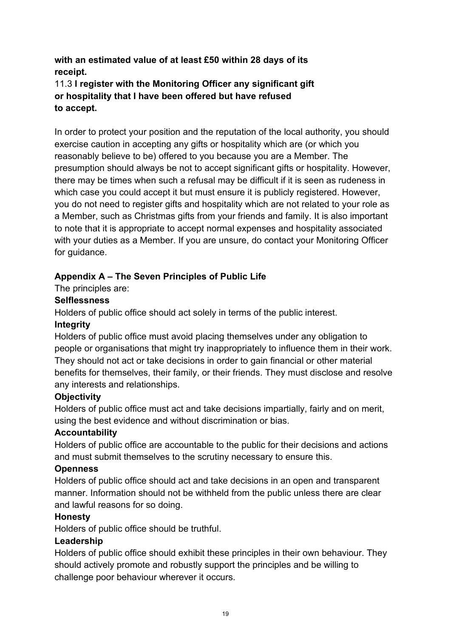## **with an estimated value of at least £50 within 28 days of its receipt.**

## 11.3 **I register with the Monitoring Officer any significant gift or hospitality that I have been offered but have refused to accept.**

In order to protect your position and the reputation of the local authority, you should exercise caution in accepting any gifts or hospitality which are (or which you reasonably believe to be) offered to you because you are a Member. The presumption should always be not to accept significant gifts or hospitality. However, there may be times when such a refusal may be difficult if it is seen as rudeness in which case you could accept it but must ensure it is publicly registered. However, you do not need to register gifts and hospitality which are not related to your role as a Member, such as Christmas gifts from your friends and family. It is also important to note that it is appropriate to accept normal expenses and hospitality associated with your duties as a Member. If you are unsure, do contact your Monitoring Officer for guidance.

## **Appendix A – The Seven Principles of Public Life**

The principles are:

### **Selflessness**

Holders of public office should act solely in terms of the public interest.

## **Integrity**

Holders of public office must avoid placing themselves under any obligation to people or organisations that might try inappropriately to influence them in their work. They should not act or take decisions in order to gain financial or other material benefits for themselves, their family, or their friends. They must disclose and resolve any interests and relationships.

## **Objectivity**

Holders of public office must act and take decisions impartially, fairly and on merit, using the best evidence and without discrimination or bias.

## **Accountability**

Holders of public office are accountable to the public for their decisions and actions and must submit themselves to the scrutiny necessary to ensure this.

#### **Openness**

Holders of public office should act and take decisions in an open and transparent manner. Information should not be withheld from the public unless there are clear and lawful reasons for so doing.

## **Honesty**

Holders of public office should be truthful.

## **Leadership**

Holders of public office should exhibit these principles in their own behaviour. They should actively promote and robustly support the principles and be willing to challenge poor behaviour wherever it occurs.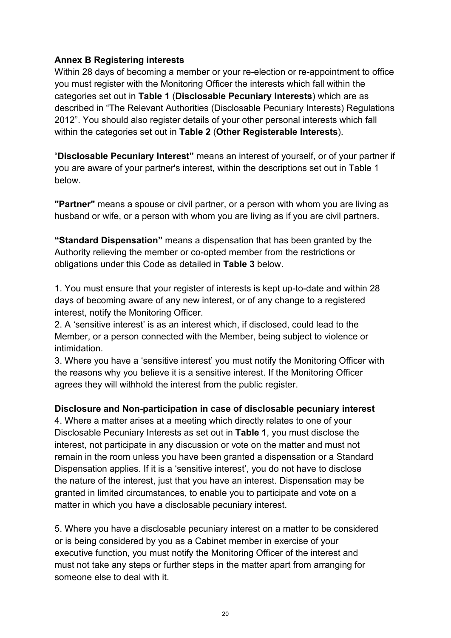#### **Annex B Registering interests**

Within 28 days of becoming a member or your re-election or re-appointment to office you must register with the Monitoring Officer the interests which fall within the categories set out in **Table 1** (**Disclosable Pecuniary Interests**) which are as described in "The Relevant Authorities (Disclosable Pecuniary Interests) Regulations 2012". You should also register details of your other personal interests which fall within the categories set out in **Table 2** (**Other Registerable Interests**).

"**Disclosable Pecuniary Interest"** means an interest of yourself, or of your partner if you are aware of your partner's interest, within the descriptions set out in Table 1 below.

**"Partner"** means a spouse or civil partner, or a person with whom you are living as husband or wife, or a person with whom you are living as if you are civil partners.

**"Standard Dispensation"** means a dispensation that has been granted by the Authority relieving the member or co-opted member from the restrictions or obligations under this Code as detailed in **Table 3** below.

1. You must ensure that your register of interests is kept up-to-date and within 28 days of becoming aware of any new interest, or of any change to a registered interest, notify the Monitoring Officer.

2. A 'sensitive interest' is as an interest which, if disclosed, could lead to the Member, or a person connected with the Member, being subject to violence or intimidation.

3. Where you have a 'sensitive interest' you must notify the Monitoring Officer with the reasons why you believe it is a sensitive interest. If the Monitoring Officer agrees they will withhold the interest from the public register.

#### **Disclosure and Non-participation in case of disclosable pecuniary interest**

4. Where a matter arises at a meeting which directly relates to one of your Disclosable Pecuniary Interests as set out in **Table 1**, you must disclose the interest, not participate in any discussion or vote on the matter and must not remain in the room unless you have been granted a dispensation or a Standard Dispensation applies. If it is a 'sensitive interest', you do not have to disclose the nature of the interest, just that you have an interest. Dispensation may be granted in limited circumstances, to enable you to participate and vote on a matter in which you have a disclosable pecuniary interest.

5. Where you have a disclosable pecuniary interest on a matter to be considered or is being considered by you as a Cabinet member in exercise of your executive function, you must notify the Monitoring Officer of the interest and must not take any steps or further steps in the matter apart from arranging for someone else to deal with it.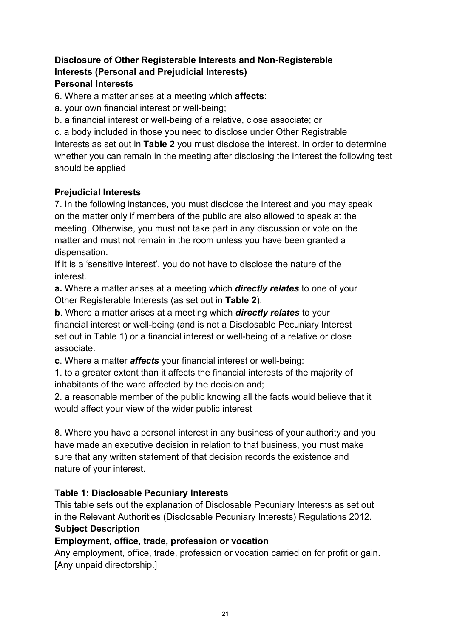## **Disclosure of Other Registerable Interests and Non-Registerable Interests (Personal and Prejudicial Interests) Personal Interests**

6. Where a matter arises at a meeting which **affects**:

a. your own financial interest or well-being;

b. a financial interest or well-being of a relative, close associate; or

c. a body included in those you need to disclose under Other Registrable Interests as set out in **Table 2** you must disclose the interest. In order to determine whether you can remain in the meeting after disclosing the interest the following test should be applied

### **Prejudicial Interests**

7. In the following instances, you must disclose the interest and you may speak on the matter only if members of the public are also allowed to speak at the meeting. Otherwise, you must not take part in any discussion or vote on the matter and must not remain in the room unless you have been granted a dispensation.

If it is a 'sensitive interest', you do not have to disclose the nature of the interest.

**a.** Where a matter arises at a meeting which *directly relates* to one of your Other Registerable Interests (as set out in **Table 2**).

**b**. Where a matter arises at a meeting which *directly relates* to your financial interest or well-being (and is not a Disclosable Pecuniary Interest set out in Table 1) or a financial interest or well-being of a relative or close associate.

**c**. Where a matter *affects* your financial interest or well-being:

1. to a greater extent than it affects the financial interests of the majority of inhabitants of the ward affected by the decision and;

2. a reasonable member of the public knowing all the facts would believe that it would affect your view of the wider public interest

8. Where you have a personal interest in any business of your authority and you have made an executive decision in relation to that business, you must make sure that any written statement of that decision records the existence and nature of your interest.

## **Table 1: Disclosable Pecuniary Interests**

This table sets out the explanation of Disclosable Pecuniary Interests as set out in the Relevant Authorities (Disclosable Pecuniary Interests) Regulations 2012. **Subject Description**

#### **Employment, office, trade, profession or vocation**

Any employment, office, trade, profession or vocation carried on for profit or gain. [Any unpaid directorship.]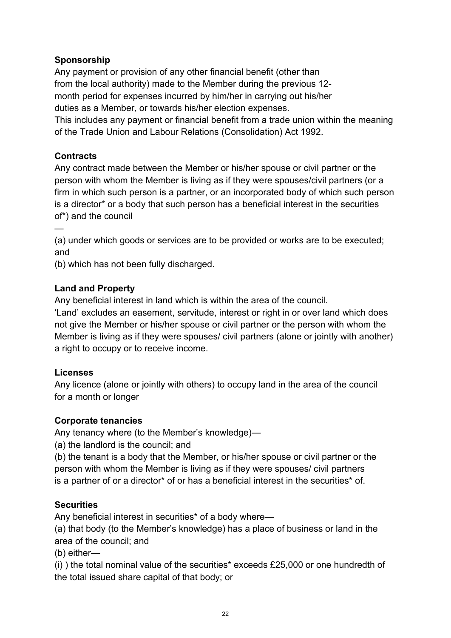## **Sponsorship**

Any payment or provision of any other financial benefit (other than from the local authority) made to the Member during the previous 12 month period for expenses incurred by him/her in carrying out his/her duties as a Member, or towards his/her election expenses.

This includes any payment or financial benefit from a trade union within the meaning of the Trade Union and Labour Relations (Consolidation) Act 1992.

### **Contracts**

—

Any contract made between the Member or his/her spouse or civil partner or the person with whom the Member is living as if they were spouses/civil partners (or a firm in which such person is a partner, or an incorporated body of which such person is a director\* or a body that such person has a beneficial interest in the securities of\*) and the council

(a) under which goods or services are to be provided or works are to be executed; and

(b) which has not been fully discharged.

### **Land and Property**

Any beneficial interest in land which is within the area of the council.

'Land' excludes an easement, servitude, interest or right in or over land which does not give the Member or his/her spouse or civil partner or the person with whom the Member is living as if they were spouses/ civil partners (alone or jointly with another) a right to occupy or to receive income.

#### **Licenses**

Any licence (alone or jointly with others) to occupy land in the area of the council for a month or longer

#### **Corporate tenancies**

Any tenancy where (to the Member's knowledge)—

(a) the landlord is the council; and

(b) the tenant is a body that the Member, or his/her spouse or civil partner or the person with whom the Member is living as if they were spouses/ civil partners is a partner of or a director\* of or has a beneficial interest in the securities\* of.

#### **Securities**

Any beneficial interest in securities\* of a body where—

(a) that body (to the Member's knowledge) has a place of business or land in the area of the council; and

(b) either—

(i) ) the total nominal value of the securities\* exceeds £25,000 or one hundredth of the total issued share capital of that body; or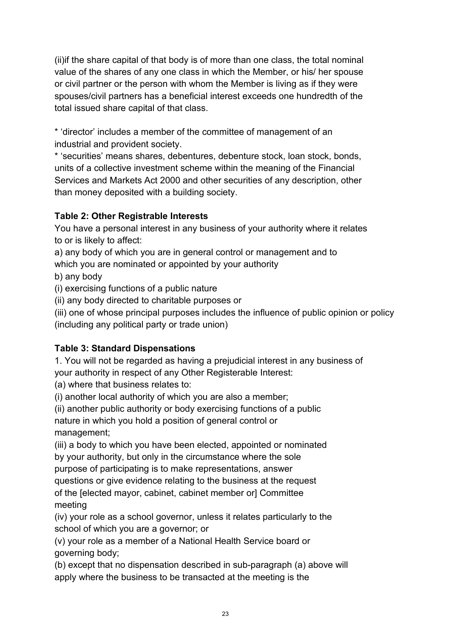(ii)if the share capital of that body is of more than one class, the total nominal value of the shares of any one class in which the Member, or his/ her spouse or civil partner or the person with whom the Member is living as if they were spouses/civil partners has a beneficial interest exceeds one hundredth of the total issued share capital of that class.

\* 'director' includes a member of the committee of management of an industrial and provident society.

\* 'securities' means shares, debentures, debenture stock, loan stock, bonds, units of a collective investment scheme within the meaning of the Financial Services and Markets Act 2000 and other securities of any description, other than money deposited with a building society.

## **Table 2: Other Registrable Interests**

You have a personal interest in any business of your authority where it relates to or is likely to affect:

a) any body of which you are in general control or management and to

which you are nominated or appointed by your authority

b) any body

(i) exercising functions of a public nature

(ii) any body directed to charitable purposes or

(iii) one of whose principal purposes includes the influence of public opinion or policy (including any political party or trade union)

## **Table 3: Standard Dispensations**

1. You will not be regarded as having a prejudicial interest in any business of your authority in respect of any Other Registerable Interest:

(a) where that business relates to:

(i) another local authority of which you are also a member;

(ii) another public authority or body exercising functions of a public nature in which you hold a position of general control or management;

(iii) a body to which you have been elected, appointed or nominated by your authority, but only in the circumstance where the sole purpose of participating is to make representations, answer questions or give evidence relating to the business at the request of the [elected mayor, cabinet, cabinet member or] Committee

meeting

(iv) your role as a school governor, unless it relates particularly to the school of which you are a governor; or

(v) your role as a member of a National Health Service board or governing body;

(b) except that no dispensation described in sub-paragraph (a) above will apply where the business to be transacted at the meeting is the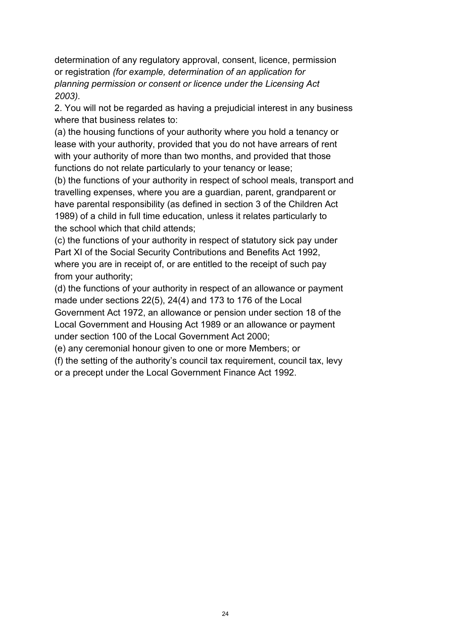determination of any regulatory approval, consent, licence, permission or registration *(for example, determination of an application for planning permission or consent or licence under the Licensing Act 2003).*

2. You will not be regarded as having a prejudicial interest in any business where that business relates to:

(a) the housing functions of your authority where you hold a tenancy or lease with your authority, provided that you do not have arrears of rent with your authority of more than two months, and provided that those functions do not relate particularly to your tenancy or lease;

(b) the functions of your authority in respect of school meals, transport and travelling expenses, where you are a guardian, parent, grandparent or have parental responsibility (as defined in section 3 of the Children Act 1989) of a child in full time education, unless it relates particularly to the school which that child attends;

(c) the functions of your authority in respect of statutory sick pay under Part XI of the Social Security Contributions and Benefits Act 1992, where you are in receipt of, or are entitled to the receipt of such pay from your authority;

(d) the functions of your authority in respect of an allowance or payment made under sections 22(5), 24(4) and 173 to 176 of the Local Government Act 1972, an allowance or pension under section 18 of the

Local Government and Housing Act 1989 or an allowance or payment under section 100 of the Local Government Act 2000;

(e) any ceremonial honour given to one or more Members; or

(f) the setting of the authority's council tax requirement, council tax, levy or a precept under the Local Government Finance Act 1992.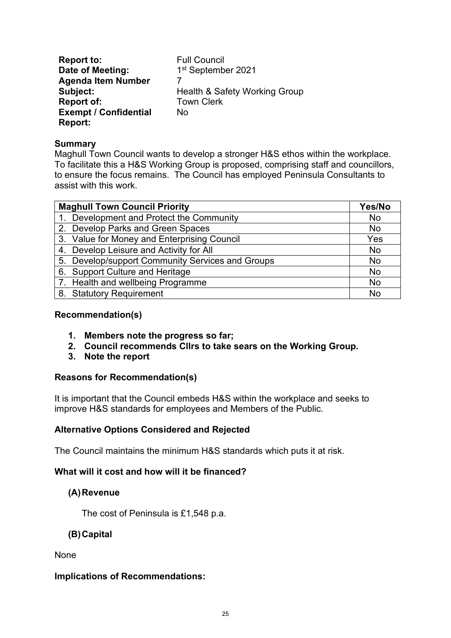**Report to:** Full Council<br> **Date of Meeting:** 1<sup>st</sup> Septemb 1st September 2021 **Agenda Item Number** 7 **Health & Safety Working Group Report of:** Town Clerk **Exempt / Confidential Report:** No

#### **Summary**

Maghull Town Council wants to develop a stronger H&S ethos within the workplace. To facilitate this a H&S Working Group is proposed, comprising staff and councillors, to ensure the focus remains. The Council has employed Peninsula Consultants to assist with this work.

| <b>Maghull Town Council Priority</b>             |           |
|--------------------------------------------------|-----------|
| 1. Development and Protect the Community         | No        |
| 2. Develop Parks and Green Spaces                | No        |
| 3. Value for Money and Enterprising Council      | Yes       |
| 4. Develop Leisure and Activity for All          | <b>No</b> |
| 5. Develop/support Community Services and Groups | <b>No</b> |
| 6. Support Culture and Heritage                  | No        |
| 7. Health and wellbeing Programme                | No        |
| 8. Statutory Requirement                         | No        |

#### **Recommendation(s)**

- **1. Members note the progress so far;**
- **2. Council recommends Cllrs to take sears on the Working Group.**
- **3. Note the report**

#### **Reasons for Recommendation(s)**

It is important that the Council embeds H&S within the workplace and seeks to improve H&S standards for employees and Members of the Public.

#### **Alternative Options Considered and Rejected**

The Council maintains the minimum H&S standards which puts it at risk.

#### **What will it cost and how will it be financed?**

#### **(A)Revenue**

The cost of Peninsula is £1,548 p.a.

#### **(B)Capital**

None

#### **Implications of Recommendations:**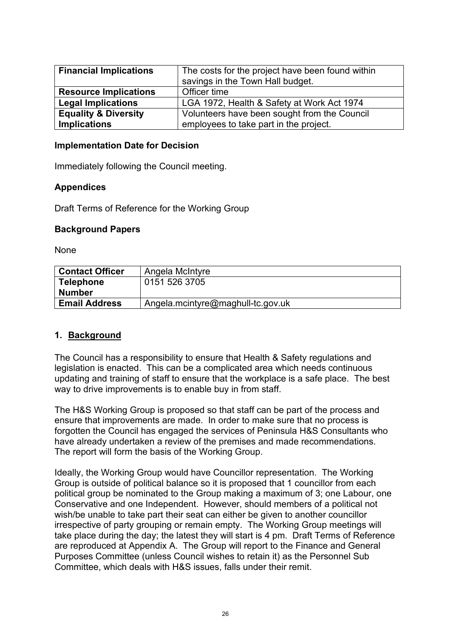| <b>Financial Implications</b>   | The costs for the project have been found within |
|---------------------------------|--------------------------------------------------|
|                                 | savings in the Town Hall budget.                 |
| <b>Resource Implications</b>    | Officer time                                     |
| <b>Legal Implications</b>       | LGA 1972, Health & Safety at Work Act 1974       |
| <b>Equality &amp; Diversity</b> | Volunteers have been sought from the Council     |
| <b>Implications</b>             | employees to take part in the project.           |

#### **Implementation Date for Decision**

Immediately following the Council meeting.

#### **Appendices**

Draft Terms of Reference for the Working Group

#### **Background Papers**

None

| <b>Contact Officer</b> | Angela McIntyre                   |
|------------------------|-----------------------------------|
| <b>Telephone</b>       | 0151 526 3705                     |
| <b>Number</b>          |                                   |
| <b>Email Address</b>   | Angela.mcintyre@maghull-tc.gov.uk |

#### **1. Background**

The Council has a responsibility to ensure that Health & Safety regulations and legislation is enacted. This can be a complicated area which needs continuous updating and training of staff to ensure that the workplace is a safe place. The best way to drive improvements is to enable buy in from staff.

The H&S Working Group is proposed so that staff can be part of the process and ensure that improvements are made. In order to make sure that no process is forgotten the Council has engaged the services of Peninsula H&S Consultants who have already undertaken a review of the premises and made recommendations. The report will form the basis of the Working Group.

Ideally, the Working Group would have Councillor representation. The Working Group is outside of political balance so it is proposed that 1 councillor from each political group be nominated to the Group making a maximum of 3; one Labour, one Conservative and one Independent. However, should members of a political not wish/be unable to take part their seat can either be given to another councillor irrespective of party grouping or remain empty. The Working Group meetings will take place during the day; the latest they will start is 4 pm. Draft Terms of Reference are reproduced at Appendix A. The Group will report to the Finance and General Purposes Committee (unless Council wishes to retain it) as the Personnel Sub Committee, which deals with H&S issues, falls under their remit.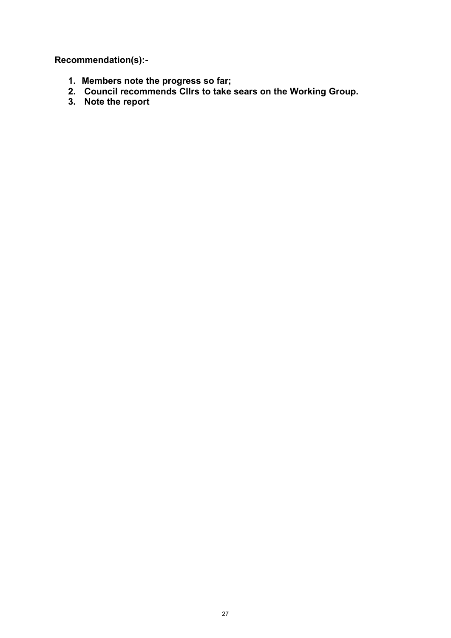**Recommendation(s):-** 

- **1. Members note the progress so far;**
- **2. Council recommends Cllrs to take sears on the Working Group.**
- **3. Note the report**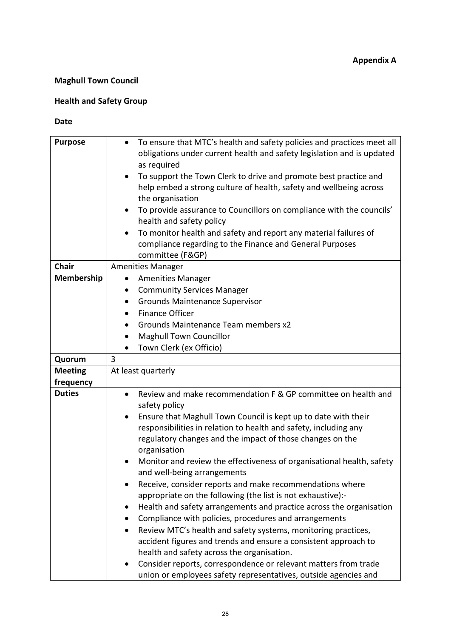## **Maghull Town Council**

## **Health and Safety Group**

#### **Date**

| <b>Purpose</b> | To ensure that MTC's health and safety policies and practices meet all<br>obligations under current health and safety legislation and is updated<br>as required<br>To support the Town Clerk to drive and promote best practice and<br>$\bullet$<br>help embed a strong culture of health, safety and wellbeing across<br>the organisation<br>To provide assurance to Councillors on compliance with the councils'<br>$\bullet$<br>health and safety policy<br>To monitor health and safety and report any material failures of<br>compliance regarding to the Finance and General Purposes<br>committee (F&GP) |
|----------------|-----------------------------------------------------------------------------------------------------------------------------------------------------------------------------------------------------------------------------------------------------------------------------------------------------------------------------------------------------------------------------------------------------------------------------------------------------------------------------------------------------------------------------------------------------------------------------------------------------------------|
| <b>Chair</b>   | <b>Amenities Manager</b>                                                                                                                                                                                                                                                                                                                                                                                                                                                                                                                                                                                        |
| Membership     | <b>Amenities Manager</b><br>$\bullet$                                                                                                                                                                                                                                                                                                                                                                                                                                                                                                                                                                           |
|                | <b>Community Services Manager</b><br>$\bullet$                                                                                                                                                                                                                                                                                                                                                                                                                                                                                                                                                                  |
|                | <b>Grounds Maintenance Supervisor</b>                                                                                                                                                                                                                                                                                                                                                                                                                                                                                                                                                                           |
|                | <b>Finance Officer</b><br>$\bullet$                                                                                                                                                                                                                                                                                                                                                                                                                                                                                                                                                                             |
|                | Grounds Maintenance Team members x2                                                                                                                                                                                                                                                                                                                                                                                                                                                                                                                                                                             |
|                | <b>Maghull Town Councillor</b><br>٠                                                                                                                                                                                                                                                                                                                                                                                                                                                                                                                                                                             |
|                | Town Clerk (ex Officio)                                                                                                                                                                                                                                                                                                                                                                                                                                                                                                                                                                                         |
| Quorum         | 3                                                                                                                                                                                                                                                                                                                                                                                                                                                                                                                                                                                                               |
| <b>Meeting</b> | At least quarterly                                                                                                                                                                                                                                                                                                                                                                                                                                                                                                                                                                                              |
| frequency      |                                                                                                                                                                                                                                                                                                                                                                                                                                                                                                                                                                                                                 |
| <b>Duties</b>  | Review and make recommendation F & GP committee on health and<br>$\bullet$                                                                                                                                                                                                                                                                                                                                                                                                                                                                                                                                      |
|                | safety policy                                                                                                                                                                                                                                                                                                                                                                                                                                                                                                                                                                                                   |
|                | Ensure that Maghull Town Council is kept up to date with their                                                                                                                                                                                                                                                                                                                                                                                                                                                                                                                                                  |
|                | responsibilities in relation to health and safety, including any                                                                                                                                                                                                                                                                                                                                                                                                                                                                                                                                                |
|                | regulatory changes and the impact of those changes on the<br>organisation                                                                                                                                                                                                                                                                                                                                                                                                                                                                                                                                       |
|                | Monitor and review the effectiveness of organisational health, safety<br>and well-being arrangements                                                                                                                                                                                                                                                                                                                                                                                                                                                                                                            |
|                | Receive, consider reports and make recommendations where                                                                                                                                                                                                                                                                                                                                                                                                                                                                                                                                                        |
|                | appropriate on the following (the list is not exhaustive):-                                                                                                                                                                                                                                                                                                                                                                                                                                                                                                                                                     |
|                | Health and safety arrangements and practice across the organisation                                                                                                                                                                                                                                                                                                                                                                                                                                                                                                                                             |
|                | Compliance with policies, procedures and arrangements                                                                                                                                                                                                                                                                                                                                                                                                                                                                                                                                                           |
|                | Review MTC's health and safety systems, monitoring practices,                                                                                                                                                                                                                                                                                                                                                                                                                                                                                                                                                   |
|                | accident figures and trends and ensure a consistent approach to                                                                                                                                                                                                                                                                                                                                                                                                                                                                                                                                                 |
|                | health and safety across the organisation.                                                                                                                                                                                                                                                                                                                                                                                                                                                                                                                                                                      |
|                | Consider reports, correspondence or relevant matters from trade                                                                                                                                                                                                                                                                                                                                                                                                                                                                                                                                                 |
|                | union or employees safety representatives, outside agencies and                                                                                                                                                                                                                                                                                                                                                                                                                                                                                                                                                 |